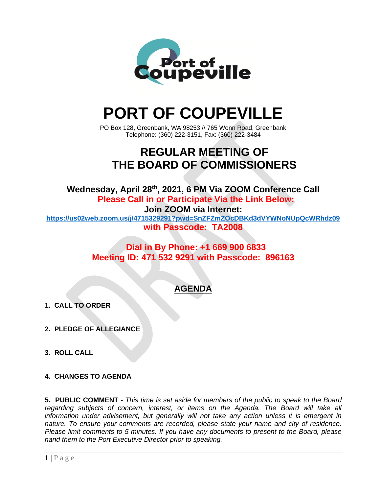

# **PORT OF COUPEVILLE**

PO Box 128, Greenbank, WA 98253 // 765 Wonn Road, Greenbank Telephone: (360) 222-3151, Fax: (360) 222-3484

# **REGULAR MEETING OF THE BOARD OF COMMISSIONERS**

**Wednesday, April 28 th , 2021, 6 PM Via ZOOM Conference Call Please Call in or Participate Via the Link Below: Join ZOOM via Internet: <https://us02web.zoom.us/j/4715329291?pwd=SnZFZmZOcDBKd3dVYWNoNUpQcWRhdz09>**

**with Passcode: TA2008**

## **Dial in By Phone: +1 669 900 6833 Meeting ID: 471 532 9291 with Passcode: 896163**

## **AGENDA**

- **1. CALL TO ORDER**
- **2. PLEDGE OF ALLEGIANCE**
- **3. ROLL CALL**
- **4. CHANGES TO AGENDA**

**5. PUBLIC COMMENT -** *This time is set aside for members of the public to speak to the Board regarding subjects of concern, interest, or items on the Agenda. The Board will take all information under advisement, but generally will not take any action unless it is emergent in nature. To ensure your comments are recorded, please state your name and city of residence. Please limit comments to 5 minutes. If you have any documents to present to the Board, please hand them to the Port Executive Director prior to speaking.*